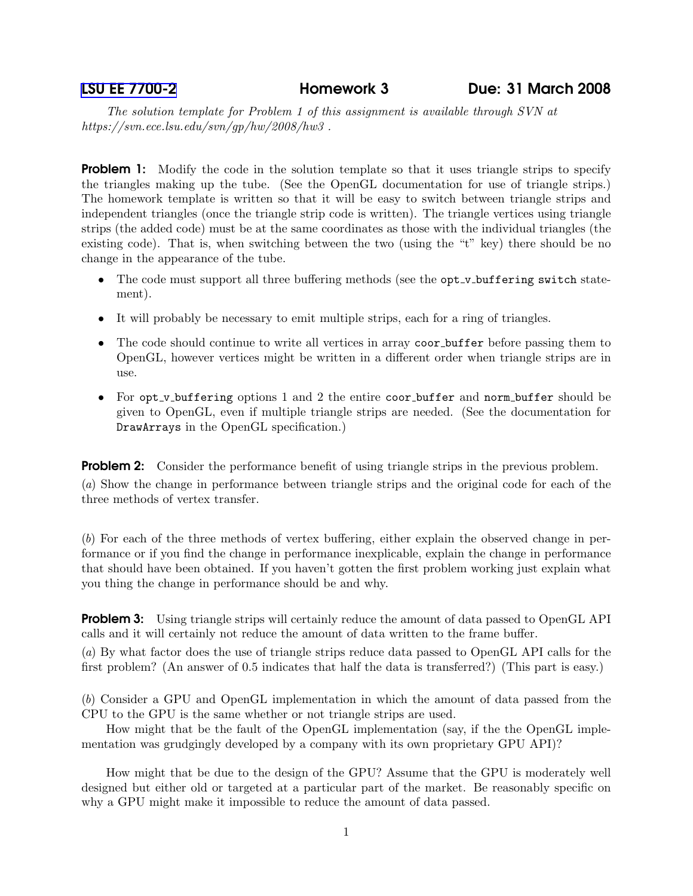The solution template for Problem 1 of this assignment is available through SVN at https://svn.ece.lsu.edu/svn/gp/hw/2008/hw3 .

**Problem 1:** Modify the code in the solution template so that it uses triangle strips to specify the triangles making up the tube. (See the OpenGL documentation for use of triangle strips.) The homework template is written so that it will be easy to switch between triangle strips and independent triangles (once the triangle strip code is written). The triangle vertices using triangle strips (the added code) must be at the same coordinates as those with the individual triangles (the existing code). That is, when switching between the two (using the "t" key) there should be no change in the appearance of the tube.

- The code must support all three buffering methods (see the opt\_v\_buffering switch statement).
- It will probably be necessary to emit multiple strips, each for a ring of triangles.
- The code should continue to write all vertices in array coor buffer before passing them to OpenGL, however vertices might be written in a different order when triangle strips are in use.
- For opt\_v\_buffering options 1 and 2 the entire coor\_buffer and norm\_buffer should be given to OpenGL, even if multiple triangle strips are needed. (See the documentation for DrawArrays in the OpenGL specification.)

**Problem 2:** Consider the performance benefit of using triangle strips in the previous problem.

(a) Show the change in performance between triangle strips and the original code for each of the three methods of vertex transfer.

(b) For each of the three methods of vertex buffering, either explain the observed change in performance or if you find the change in performance inexplicable, explain the change in performance that should have been obtained. If you haven't gotten the first problem working just explain what you thing the change in performance should be and why.

**Problem 3:** Using triangle strips will certainly reduce the amount of data passed to OpenGL API calls and it will certainly not reduce the amount of data written to the frame buffer.

(a) By what factor does the use of triangle strips reduce data passed to OpenGL API calls for the first problem? (An answer of 0.5 indicates that half the data is transferred?) (This part is easy.)

(b) Consider a GPU and OpenGL implementation in which the amount of data passed from the CPU to the GPU is the same whether or not triangle strips are used.

How might that be the fault of the OpenGL implementation (say, if the the OpenGL implementation was grudgingly developed by a company with its own proprietary GPU API)?

How might that be due to the design of the GPU? Assume that the GPU is moderately well designed but either old or targeted at a particular part of the market. Be reasonably specific on why a GPU might make it impossible to reduce the amount of data passed.